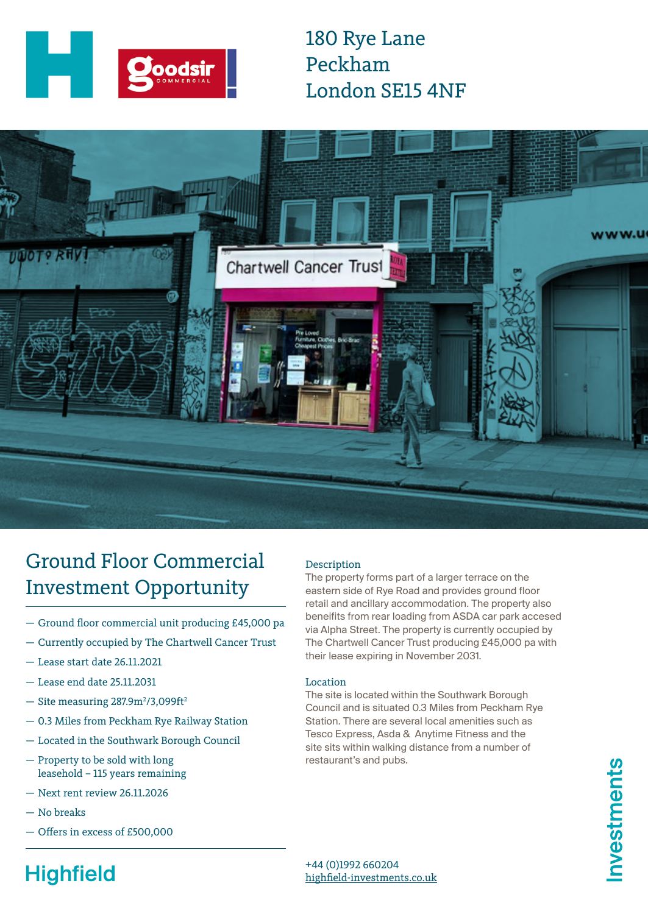

180 Rye Lane Peckham London SE15 4NF



# Ground Floor Commercial Investment Opportunity

- Ground floor commercial unit producing £45,000 pa
- Currently occupied by The Chartwell Cancer Trust
- Lease start date 26.11.2021
- Lease end date 25.11.2031
- $-$  Site measuring 287.9m<sup>2</sup>/3,099ft<sup>2</sup>
- 0.3 Miles from Peckham Rye Railway Station
- Located in the Southwark Borough Council
- Property to be sold with long leasehold – 115 years remaining
- Next rent review 26.11.2026
- No breaks
- Offers in excess of £500,000

### Description

The property forms part of a larger terrace on the eastern side of Rye Road and provides ground floor retail and ancillary accommodation. The property also beneifits from rear loading from ASDA car park accesed via Alpha Street. The property is currently occupied by The Chartwell Cancer Trust producing £45,000 pa with their lease expiring in November 2031.

#### Location

The site is located within the Southwark Borough Council and is situated 0.3 Miles from Peckham Rye Station. There are several local amenities such as Tesco Express, Asda & Anytime Fitness and the site sits within walking distance from a number of restaurant's and pubs.

nvestments

### +44 (0)1992 660204 [highfield-investments.co.uk](http://highfield-investments.co.uk)

# **Highfield**